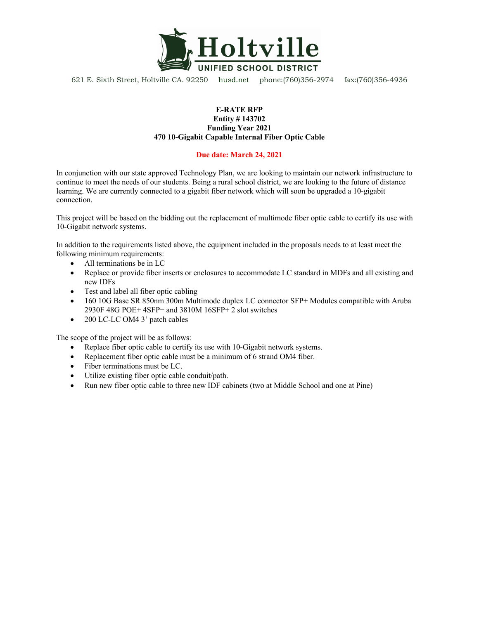

621 E. Sixth Street, Holtville CA. 92250 husd.net phone:(760)356-2974 fax:(760)356-4936

#### **E-RATE RFP**

#### **Entity # 143702 Funding Year 2021 470 10-Gigabit Capable Internal Fiber Optic Cable**

#### **Due date: March 24, 2021**

In conjunction with our state approved Technology Plan, we are looking to maintain our network infrastructure to continue to meet the needs of our students. Being a rural school district, we are looking to the future of distance learning. We are currently connected to a gigabit fiber network which will soon be upgraded a 10-gigabit connection.

This project will be based on the bidding out the replacement of multimode fiber optic cable to certify its use with 10-Gigabit network systems.

In addition to the requirements listed above, the equipment included in the proposals needs to at least meet the following minimum requirements:

- All terminations be in LC
- Replace or provide fiber inserts or enclosures to accommodate LC standard in MDFs and all existing and new IDFs
- Test and label all fiber optic cabling
- 160 10G Base SR 850nm 300m Multimode duplex LC connector SFP+ Modules compatible with Aruba 2930F 48G POE+ 4SFP+ and 3810M 16SFP+ 2 slot switches
- 200 LC-LC OM4 3' patch cables

The scope of the project will be as follows:

- Replace fiber optic cable to certify its use with 10-Gigabit network systems.
- Replacement fiber optic cable must be a minimum of 6 strand OM4 fiber.
- Fiber terminations must be LC.
- Utilize existing fiber optic cable conduit/path.
- Run new fiber optic cable to three new IDF cabinets (two at Middle School and one at Pine)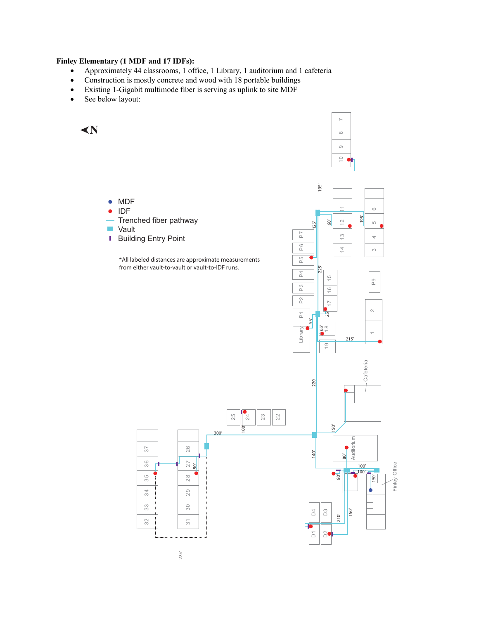#### **Finley Elementary (1 MDF and 17 IDFs):**

- Approximately 44 classrooms, 1 office, 1 Library, 1 auditorium and 1 cafeteria
- Construction is mostly concrete and wood with 18 portable buildings
- Existing 1-Gigabit multimode fiber is serving as uplink to site MDF
- See below layout:

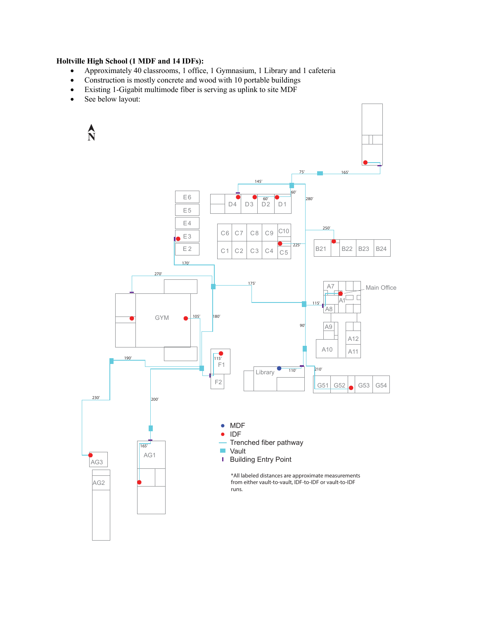#### **Holtville High School (1 MDF and 14 IDFs):**

- Approximately 40 classrooms, 1 office, 1 Gymnasium, 1 Library and 1 cafeteria
- Construction is mostly concrete and wood with 10 portable buildings
- Existing 1-Gigabit multimode fiber is serving as uplink to site MDF
- See below layout:

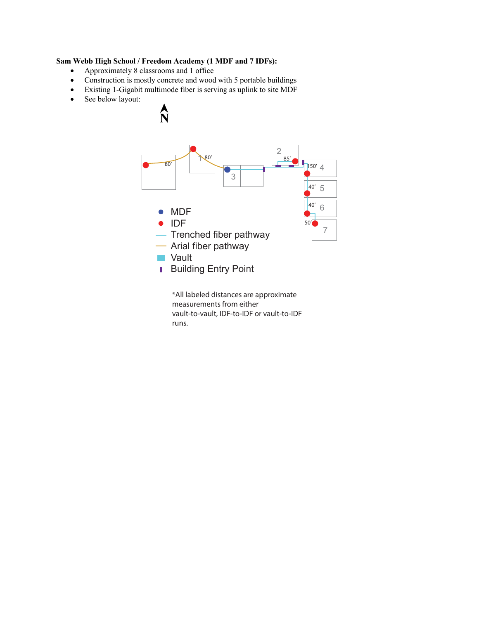### **Sam Webb High School / Freedom Academy (1 MDF and 7 IDFs):**

- Approximately 8 classrooms and 1 office
- Construction is mostly concrete and wood with 5 portable buildings
- Existing 1-Gigabit multimode fiber is serving as uplink to site MDF
- See below layout:



\*All labeled distances are approximate measurements from either vault-to-vault, IDF-to-IDF or vault-to-IDF runs.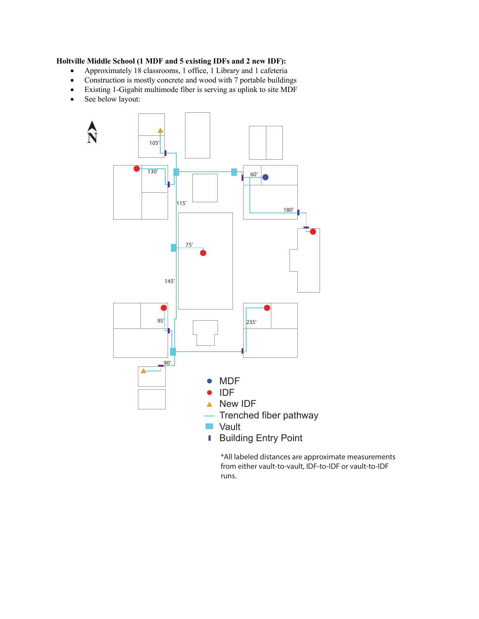#### **Holtville Middle School (1 MDF and 5 existing IDFs and 2 new IDF):**

- Approximately 18 classrooms, 1 office, 1 Library and 1 cafeteria
- Construction is mostly concrete and wood with 7 portable buildings
- Existing 1-Gigabit multimode fiber is serving as uplink to site MDF
- See below layout:



\*All labeled distances are approximate measurements from either vault-to-vault, IDF-to-IDF or vault-to-IDF runs.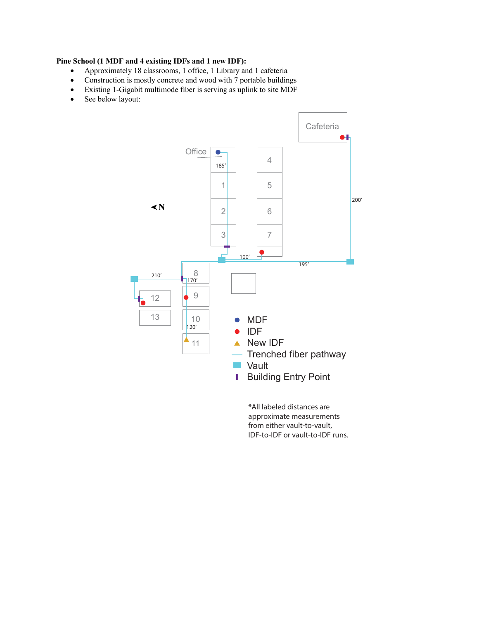#### **Pine School (1 MDF and 4 existing IDFs and 1 new IDF):**

- Approximately 18 classrooms, 1 office, 1 Library and 1 cafeteria
- Construction is mostly concrete and wood with 7 portable buildings
- Existing 1-Gigabit multimode fiber is serving as uplink to site MDF
- See below layout:



\*All labeled distances are approximate measurements from either vault-to-vault, IDF-to-IDF or vault-to-IDF runs.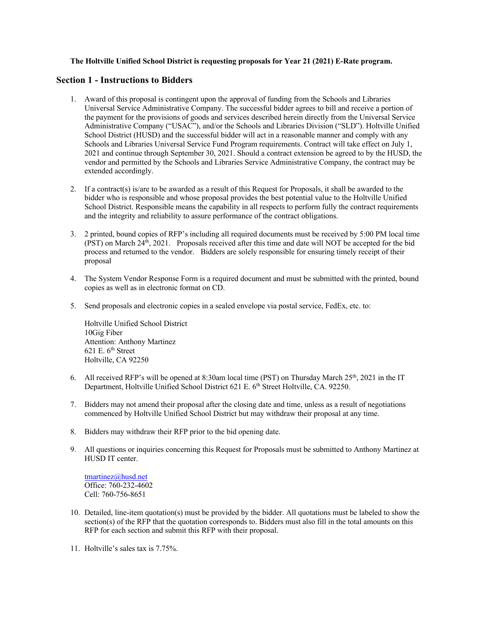#### **The Holtville Unified School District is requesting proposals for Year 21 (2021) E-Rate program.**

#### **Section 1 - Instructions to Bidders**

- 1. Award of this proposal is contingent upon the approval of funding from the Schools and Libraries Universal Service Administrative Company. The successful bidder agrees to bill and receive a portion of the payment for the provisions of goods and services described herein directly from the Universal Service Administrative Company ("USAC"), and/or the Schools and Libraries Division ("SLD"). Holtville Unified School District (HUSD) and the successful bidder will act in a reasonable manner and comply with any Schools and Libraries Universal Service Fund Program requirements. Contract will take effect on July 1, 2021 and continue through September 30, 2021. Should a contract extension be agreed to by the HUSD, the vendor and permitted by the Schools and Libraries Service Administrative Company, the contract may be extended accordingly.
- 2. If a contract(s) is/are to be awarded as a result of this Request for Proposals, it shall be awarded to the bidder who is responsible and whose proposal provides the best potential value to the Holtville Unified School District. Responsible means the capability in all respects to perform fully the contract requirements and the integrity and reliability to assure performance of the contract obligations.
- 3. 2 printed, bound copies of RFP's including all required documents must be received by 5:00 PM local time (PST) on March  $24<sup>th</sup>$ , 2021. Proposals received after this time and date will NOT be accepted for the bid process and returned to the vendor. Bidders are solely responsible for ensuring timely receipt of their proposal
- 4. The System Vendor Response Form is a required document and must be submitted with the printed, bound copies as well as in electronic format on CD.
- 5. Send proposals and electronic copies in a sealed envelope via postal service, FedEx, etc. to:

Holtville Unified School District 10Gig Fiber Attention: Anthony Martinez 621 E.  $6<sup>th</sup>$  Street Holtville, CA 92250

- 6. All received RFP's will be opened at 8:30am local time (PST) on Thursday March  $25<sup>th</sup>$ , 2021 in the IT Department, Holtville Unified School District 621 E. 6<sup>th</sup> Street Holtville, CA. 92250.
- 7. Bidders may not amend their proposal after the closing date and time, unless as a result of negotiations commenced by Holtville Unified School District but may withdraw their proposal at any time.
- 8. Bidders may withdraw their RFP prior to the bid opening date.
- 9. All questions or inquiries concerning this Request for Proposals must be submitted to Anthony Martinez at HUSD IT center.

tmartinez@husd.net Office: 760-232-4602 Cell: 760-756-8651

- 10. Detailed, line-item quotation(s) must be provided by the bidder. All quotations must be labeled to show the section(s) of the RFP that the quotation corresponds to. Bidders must also fill in the total amounts on this RFP for each section and submit this RFP with their proposal.
- 11. Holtville's sales tax is 7.75%.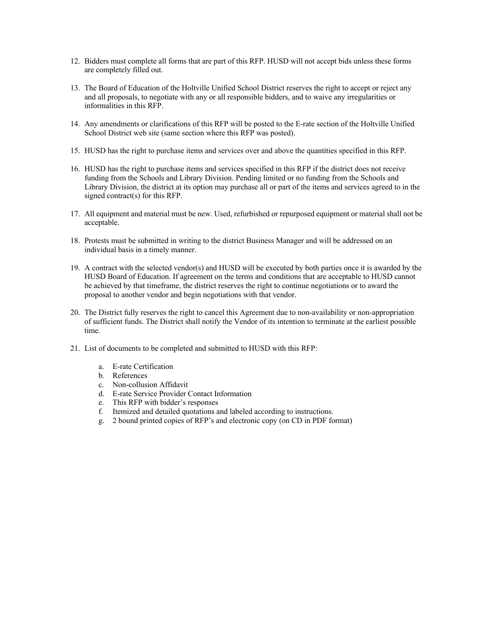- 12. Bidders must complete all forms that are part of this RFP. HUSD will not accept bids unless these forms are completely filled out.
- 13. The Board of Education of the Holtville Unified School District reserves the right to accept or reject any and all proposals, to negotiate with any or all responsible bidders, and to waive any irregularities or informalities in this RFP.
- 14. Any amendments or clarifications of this RFP will be posted to the E-rate section of the Holtville Unified School District web site (same section where this RFP was posted).
- 15. HUSD has the right to purchase items and services over and above the quantities specified in this RFP.
- 16. HUSD has the right to purchase items and services specified in this RFP if the district does not receive funding from the Schools and Library Division. Pending limited or no funding from the Schools and Library Division, the district at its option may purchase all or part of the items and services agreed to in the signed contract(s) for this RFP.
- 17. All equipment and material must be new. Used, refurbished or repurposed equipment or material shall not be acceptable.
- 18. Protests must be submitted in writing to the district Business Manager and will be addressed on an individual basis in a timely manner.
- 19. A contract with the selected vendor(s) and HUSD will be executed by both parties once it is awarded by the HUSD Board of Education. If agreement on the terms and conditions that are acceptable to HUSD cannot be achieved by that timeframe, the district reserves the right to continue negotiations or to award the proposal to another vendor and begin negotiations with that vendor.
- 20. The District fully reserves the right to cancel this Agreement due to non-availability or non-appropriation of sufficient funds. The District shall notify the Vendor of its intention to terminate at the earliest possible time.
- 21. List of documents to be completed and submitted to HUSD with this RFP:
	- a. E-rate Certification
	- b. References
	- c. Non-collusion Affidavit
	- d. E-rate Service Provider Contact Information
	- e. This RFP with bidder's responses
	- f. Itemized and detailed quotations and labeled according to instructions.
	- g. 2 bound printed copies of RFP's and electronic copy (on CD in PDF format)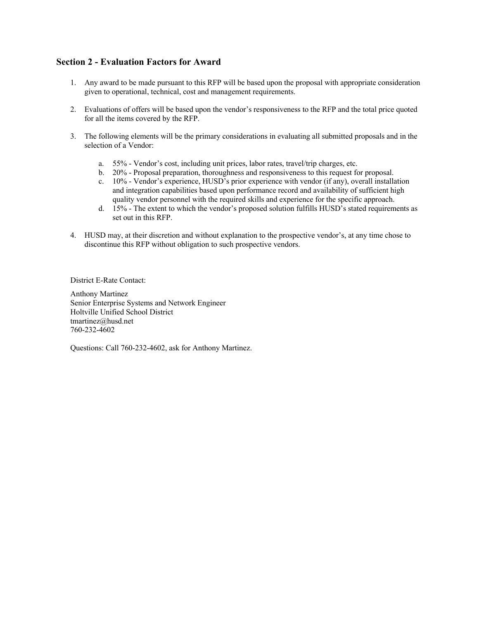## **Section 2 - Evaluation Factors for Award**

- 1. Any award to be made pursuant to this RFP will be based upon the proposal with appropriate consideration given to operational, technical, cost and management requirements.
- 2. Evaluations of offers will be based upon the vendor's responsiveness to the RFP and the total price quoted for all the items covered by the RFP.
- 3. The following elements will be the primary considerations in evaluating all submitted proposals and in the selection of a Vendor:
	- a. 55% Vendor's cost, including unit prices, labor rates, travel/trip charges, etc.
	- b. 20% Proposal preparation, thoroughness and responsiveness to this request for proposal.
	- c. 10% Vendor's experience, HUSD's prior experience with vendor (if any), overall installation and integration capabilities based upon performance record and availability of sufficient high quality vendor personnel with the required skills and experience for the specific approach.
	- d. 15% The extent to which the vendor's proposed solution fulfills HUSD's stated requirements as set out in this RFP.
- 4. HUSD may, at their discretion and without explanation to the prospective vendor's, at any time chose to discontinue this RFP without obligation to such prospective vendors.

District E-Rate Contact:

Anthony Martinez Senior Enterprise Systems and Network Engineer Holtville Unified School District tmartinez@husd.net 760-232-4602

Questions: Call 760-232-4602, ask for Anthony Martinez.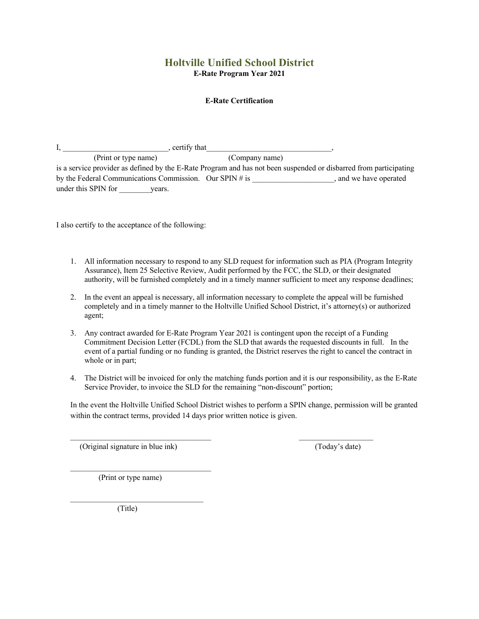## **Holtville Unified School District E-Rate Program Year 2021**

#### **E-Rate Certification**

| certify that                                               |                                                                                                                   |  |
|------------------------------------------------------------|-------------------------------------------------------------------------------------------------------------------|--|
| (Print or type name)                                       | (Company name)                                                                                                    |  |
|                                                            | is a service provider as defined by the E-Rate Program and has not been suspended or disbarred from participating |  |
| by the Federal Communications Commission. Our SPIN $\#$ is | and we have operated                                                                                              |  |
| under this SPIN for<br>vears.                              |                                                                                                                   |  |

I also certify to the acceptance of the following:

- 1. All information necessary to respond to any SLD request for information such as PIA (Program Integrity Assurance), Item 25 Selective Review, Audit performed by the FCC, the SLD, or their designated authority, will be furnished completely and in a timely manner sufficient to meet any response deadlines;
- 2. In the event an appeal is necessary, all information necessary to complete the appeal will be furnished completely and in a timely manner to the Holtville Unified School District, it's attorney(s) or authorized agent;
- 3. Any contract awarded for E-Rate Program Year 2021 is contingent upon the receipt of a Funding Commitment Decision Letter (FCDL) from the SLD that awards the requested discounts in full. In the event of a partial funding or no funding is granted, the District reserves the right to cancel the contract in whole or in part;
- 4. The District will be invoiced for only the matching funds portion and it is our responsibility, as the E-Rate Service Provider, to invoice the SLD for the remaining "non-discount" portion;

In the event the Holtville Unified School District wishes to perform a SPIN change, permission will be granted within the contract terms, provided 14 days prior written notice is given.

 $\mathcal{L}_\text{max}$  , and the set of the set of the set of the set of the set of the set of the set of the set of the set of

(Original signature in blue ink) (Today's date)

(Print or type name)

 $\mathcal{L}_\text{max}$  and  $\mathcal{L}_\text{max}$  and  $\mathcal{L}_\text{max}$  and  $\mathcal{L}_\text{max}$ 

 $\mathcal{L}_\text{max}$ 

(Title)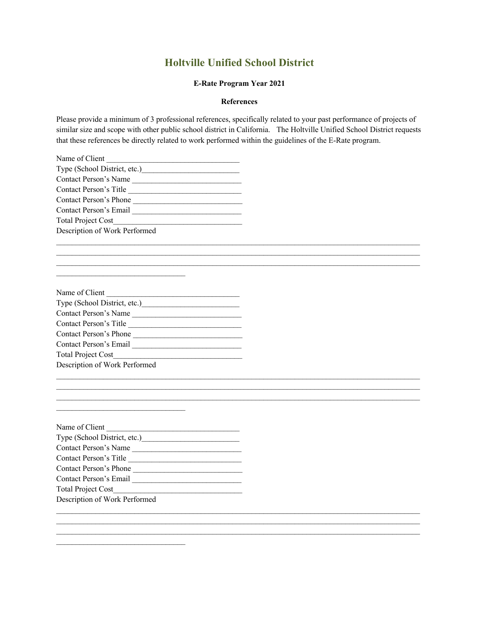# **Holtville Unified School District**

#### **E-Rate Program Year 2021**

#### **References**

Please provide a minimum of 3 professional references, specifically related to your past performance of projects of similar size and scope with other public school district in California. The Holtville Unified School District requests that these references be directly related to work performed within the guidelines of the E-Rate program.

 $\mathcal{L}_\mathcal{L} = \mathcal{L}_\mathcal{L}$  $\mathcal{L}_\mathcal{L} = \mathcal{L}_\mathcal{L} = \mathcal{L}_\mathcal{L} = \mathcal{L}_\mathcal{L} = \mathcal{L}_\mathcal{L} = \mathcal{L}_\mathcal{L} = \mathcal{L}_\mathcal{L} = \mathcal{L}_\mathcal{L} = \mathcal{L}_\mathcal{L} = \mathcal{L}_\mathcal{L} = \mathcal{L}_\mathcal{L} = \mathcal{L}_\mathcal{L} = \mathcal{L}_\mathcal{L} = \mathcal{L}_\mathcal{L} = \mathcal{L}_\mathcal{L} = \mathcal{L}_\mathcal{L} = \mathcal{L}_\mathcal{L}$ 

\_\_\_\_\_\_\_\_\_\_\_\_\_\_\_\_\_\_\_\_\_\_\_\_\_\_\_\_\_\_\_\_\_\_\_\_\_\_\_\_\_\_\_\_\_\_\_\_\_\_\_\_\_\_\_\_\_\_\_\_\_\_\_\_\_\_\_\_\_\_\_\_\_\_\_\_\_\_\_\_\_\_\_\_\_\_\_\_\_\_\_\_\_

 $\mathcal{L}_\mathcal{L} = \mathcal{L}_\mathcal{L}$ 

 $\mathcal{L}_\mathcal{L} = \mathcal{L}_\mathcal{L} = \mathcal{L}_\mathcal{L} = \mathcal{L}_\mathcal{L} = \mathcal{L}_\mathcal{L} = \mathcal{L}_\mathcal{L} = \mathcal{L}_\mathcal{L} = \mathcal{L}_\mathcal{L} = \mathcal{L}_\mathcal{L} = \mathcal{L}_\mathcal{L} = \mathcal{L}_\mathcal{L} = \mathcal{L}_\mathcal{L} = \mathcal{L}_\mathcal{L} = \mathcal{L}_\mathcal{L} = \mathcal{L}_\mathcal{L} = \mathcal{L}_\mathcal{L} = \mathcal{L}_\mathcal{L}$ 

| Name of Client                |  |  |  |
|-------------------------------|--|--|--|
| Type (School District, etc.)  |  |  |  |
| Contact Person's Name         |  |  |  |
| Contact Person's Title        |  |  |  |
| Contact Person's Phone        |  |  |  |
| Contact Person's Email        |  |  |  |
| <b>Total Project Cost</b>     |  |  |  |
| Description of Work Performed |  |  |  |

### Name of Client

| Type (School District, etc.)  |  |  |
|-------------------------------|--|--|
| Contact Person's Name         |  |  |
| Contact Person's Title        |  |  |
| Contact Person's Phone        |  |  |
| Contact Person's Email        |  |  |
| <b>Total Project Cost</b>     |  |  |
| Description of Work Performed |  |  |

 $\mathcal{L}_\text{max}$  and  $\mathcal{L}_\text{max}$  and  $\mathcal{L}_\text{max}$  and  $\mathcal{L}_\text{max}$ 

 $\mathcal{L}_\text{max}$  and  $\mathcal{L}_\text{max}$  and  $\mathcal{L}_\text{max}$  and  $\mathcal{L}_\text{max}$ 

 $\mathcal{L}_\text{max}$  and  $\mathcal{L}_\text{max}$  and  $\mathcal{L}_\text{max}$  and  $\mathcal{L}_\text{max}$ 

| Name of Client                |  |  |
|-------------------------------|--|--|
| Type (School District, etc.)  |  |  |
| Contact Person's Name         |  |  |
| Contact Person's Title        |  |  |
| Contact Person's Phone        |  |  |
| Contact Person's Email        |  |  |
| <b>Total Project Cost</b>     |  |  |
| Description of Work Performed |  |  |